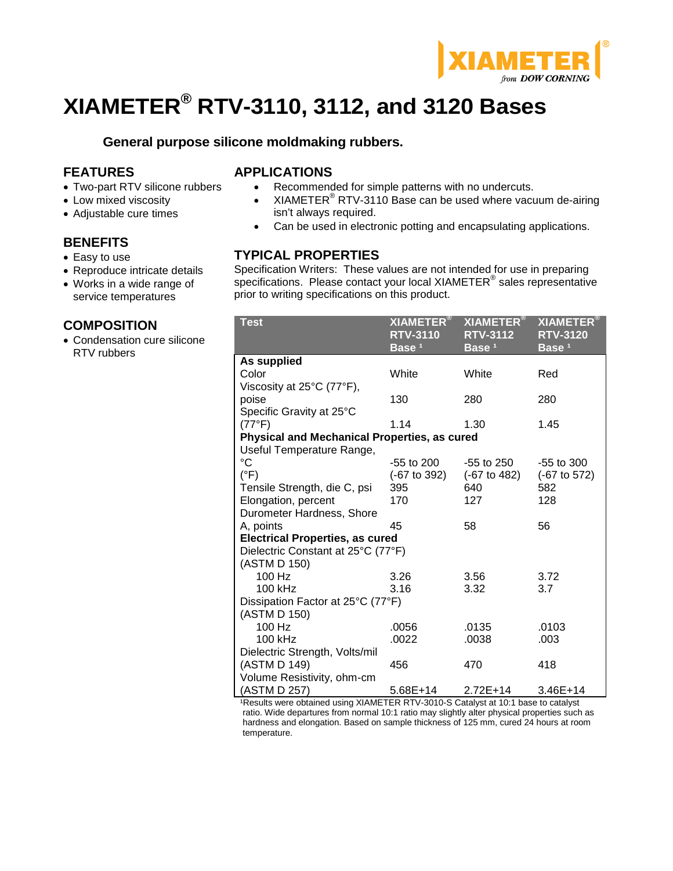

# **XIAMETER® RTV-3110, 3112, and 3120 Bases**

**General purpose silicone moldmaking rubbers.**

## **FEATURES**

- Two-part RTV silicone rubbers
- Low mixed viscosity
- Adjustable cure times

## **BENEFITS**

- Easy to use
- Reproduce intricate details

#### • Works in a wide range of service temperatures

### **COMPOSITION**

• Condensation cure silicone RTV rubbers

## **APPLICATIONS**

- Recommended for simple patterns with no undercuts.
- XIAMETER<sup>®</sup> RTV-3110 Base can be used where vacuum de-airing isn't always required.
- Can be used in electronic potting and encapsulating applications.

## **TYPICAL PROPERTIES**

Specification Writers: These values are not intended for use in preparing specifications. Please contact your local XIAMETER<sup>®</sup> sales representative prior to writing specifications on this product.

| <b>Test</b>                                         | $\overline{{\sf X}}$ IAMETER $^{\circledR}$<br><b>RTV-3110</b><br>Base <sup>1</sup> | <b>XIAMETER®</b><br><b>RTV-3112</b><br>Base <sup>1</sup> | <b>XIAMETER®</b><br><b>RTV-3120</b><br>Base <sup>1</sup> |  |  |
|-----------------------------------------------------|-------------------------------------------------------------------------------------|----------------------------------------------------------|----------------------------------------------------------|--|--|
| As supplied                                         |                                                                                     |                                                          |                                                          |  |  |
| Color                                               | White                                                                               | White                                                    | Red                                                      |  |  |
| Viscosity at 25°C (77°F),                           |                                                                                     |                                                          |                                                          |  |  |
| poise                                               | 130                                                                                 | 280                                                      | 280                                                      |  |  |
| Specific Gravity at 25°C                            |                                                                                     |                                                          |                                                          |  |  |
| (77°F)                                              | 1.14                                                                                | 1.30                                                     | 1.45                                                     |  |  |
| <b>Physical and Mechanical Properties, as cured</b> |                                                                                     |                                                          |                                                          |  |  |
| Useful Temperature Range,                           |                                                                                     |                                                          |                                                          |  |  |
| $\rm ^{\circ}C$                                     | -55 to 200                                                                          | -55 to 250                                               | $-55$ to 300                                             |  |  |
| $(^{\circ}F)$                                       | (-67 to 392)                                                                        | (-67 to 482)                                             | (-67 to 572)                                             |  |  |
| Tensile Strength, die C, psi                        | 395                                                                                 | 640                                                      | 582                                                      |  |  |
| Elongation, percent                                 | 170                                                                                 | 127                                                      | 128                                                      |  |  |
| Durometer Hardness, Shore                           |                                                                                     |                                                          |                                                          |  |  |
| A, points                                           | 45                                                                                  | 58                                                       | 56                                                       |  |  |
| <b>Electrical Properties, as cured</b>              |                                                                                     |                                                          |                                                          |  |  |
| Dielectric Constant at 25°C (77°F)                  |                                                                                     |                                                          |                                                          |  |  |
| (ASTM D 150)                                        |                                                                                     |                                                          |                                                          |  |  |
| 100 Hz                                              | 3.26                                                                                | 3.56                                                     | 3.72                                                     |  |  |
| 100 kHz                                             | 3.16                                                                                | 3.32                                                     | 3.7                                                      |  |  |
| Dissipation Factor at 25°C (77°F)                   |                                                                                     |                                                          |                                                          |  |  |
| (ASTM D 150)<br>100 Hz                              | .0056                                                                               | .0135                                                    | .0103                                                    |  |  |
| 100 kHz                                             |                                                                                     |                                                          |                                                          |  |  |
|                                                     | .0022                                                                               | .0038                                                    | .003                                                     |  |  |
| Dielectric Strength, Volts/mil<br>(ASTM D 149)      | 456                                                                                 | 470                                                      | 418                                                      |  |  |
| Volume Resistivity, ohm-cm                          |                                                                                     |                                                          |                                                          |  |  |
| (ASTM D 257)                                        | 5.68E+14                                                                            | $2.72E+14$                                               | $3.46E+14$                                               |  |  |

1Results were obtained using XIAMETER RTV-3010-S Catalyst at 10:1 base to catalyst ratio. Wide departures from normal 10:1 ratio may slightly alter physical properties such as hardness and elongation. Based on sample thickness of 125 mm, cured 24 hours at room temperature.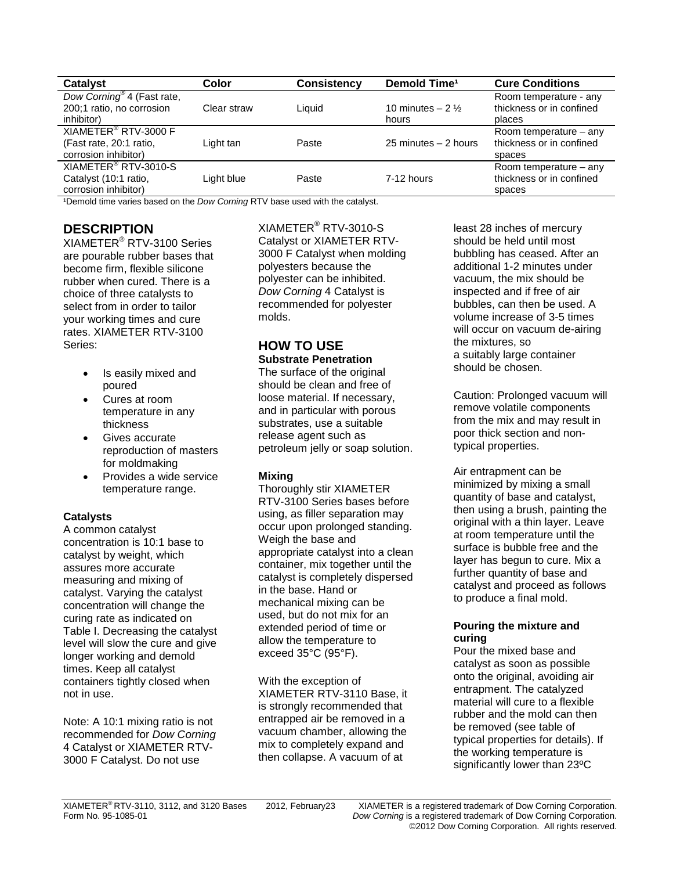| <b>Catalyst</b>                         | Color       | <b>Consistency</b> | Demold Time <sup>1</sup>   | <b>Cure Conditions</b>   |
|-----------------------------------------|-------------|--------------------|----------------------------|--------------------------|
| Dow Corning <sup>®</sup> 4 (Fast rate,  |             |                    |                            | Room temperature - any   |
| 200;1 ratio, no corrosion<br>inhibitor) | Clear straw | Liquid             | 10 minutes $-2\frac{1}{2}$ | thickness or in confined |
|                                         |             |                    | hours                      | places                   |
| XIAMETER <sup>®</sup> RTV-3000 F        |             |                    |                            | Room temperature $-$ any |
| (Fast rate, 20:1 ratio,                 | Light tan   | Paste              | 25 minutes $-2$ hours      | thickness or in confined |
| corrosion inhibitor)                    |             |                    |                            | spaces                   |
| XIAMETER <sup>®</sup> RTV-3010-S        |             |                    |                            | Room temperature – any   |
| Catalyst (10:1 ratio,                   | Light blue  | Paste              | 7-12 hours                 | thickness or in confined |
| corrosion inhibitor)                    |             |                    |                            | spaces                   |

1Demold time varies based on the *Dow Corning* RTV base used with the catalyst.

## **DESCRIPTION**

XIAMETER® RTV-3100 Series are pourable rubber bases that become firm, flexible silicone rubber when cured. There is a choice of three catalysts to select from in order to tailor your working times and cure rates. XIAMETER RTV-3100 Series:

- Is easily mixed and poured
- Cures at room temperature in any thickness
- Gives accurate reproduction of masters for moldmaking
- Provides a wide service temperature range.

#### **Catalysts**

A common catalyst concentration is 10:1 base to catalyst by weight, which assures more accurate measuring and mixing of catalyst. Varying the catalyst concentration will change the curing rate as indicated on Table I. Decreasing the catalyst level will slow the cure and give longer working and demold times. Keep all catalyst containers tightly closed when not in use.

Note: A 10:1 mixing ratio is not recommended for *Dow Corning* 4 Catalyst or XIAMETER RTV-3000 F Catalyst. Do not use

XIAMETER® RTV-3010-S Catalyst or XIAMETER RTV-3000 F Catalyst when molding polyesters because the polyester can be inhibited. *Dow Corning* 4 Catalyst is recommended for polyester molds.

# **HOW TO USE**

**Substrate Penetration** The surface of the original should be clean and free of loose material. If necessary, and in particular with porous substrates, use a suitable release agent such as petroleum jelly or soap solution.

#### **Mixing**

Thoroughly stir XIAMETER RTV-3100 Series bases before using, as filler separation may occur upon prolonged standing. Weigh the base and appropriate catalyst into a clean container, mix together until the catalyst is completely dispersed in the base. Hand or mechanical mixing can be used, but do not mix for an extended period of time or allow the temperature to exceed 35°C (95°F).

With the exception of XIAMETER RTV-3110 Base, it is strongly recommended that entrapped air be removed in a vacuum chamber, allowing the mix to completely expand and then collapse. A vacuum of at

least 28 inches of mercury should be held until most bubbling has ceased. After an additional 1-2 minutes under vacuum, the mix should be inspected and if free of air bubbles, can then be used. A volume increase of 3-5 times will occur on vacuum de-airing the mixtures, so a suitably large container should be chosen.

Caution: Prolonged vacuum will remove volatile components from the mix and may result in poor thick section and nontypical properties.

Air entrapment can be minimized by mixing a small quantity of base and catalyst, then using a brush, painting the original with a thin layer. Leave at room temperature until the surface is bubble free and the layer has begun to cure. Mix a further quantity of base and catalyst and proceed as follows to produce a final mold.

#### **Pouring the mixture and curing**

Pour the mixed base and catalyst as soon as possible onto the original, avoiding air entrapment. The catalyzed material will cure to a flexible rubber and the mold can then be removed (see table of typical properties for details). If the working temperature is significantly lower than 23ºC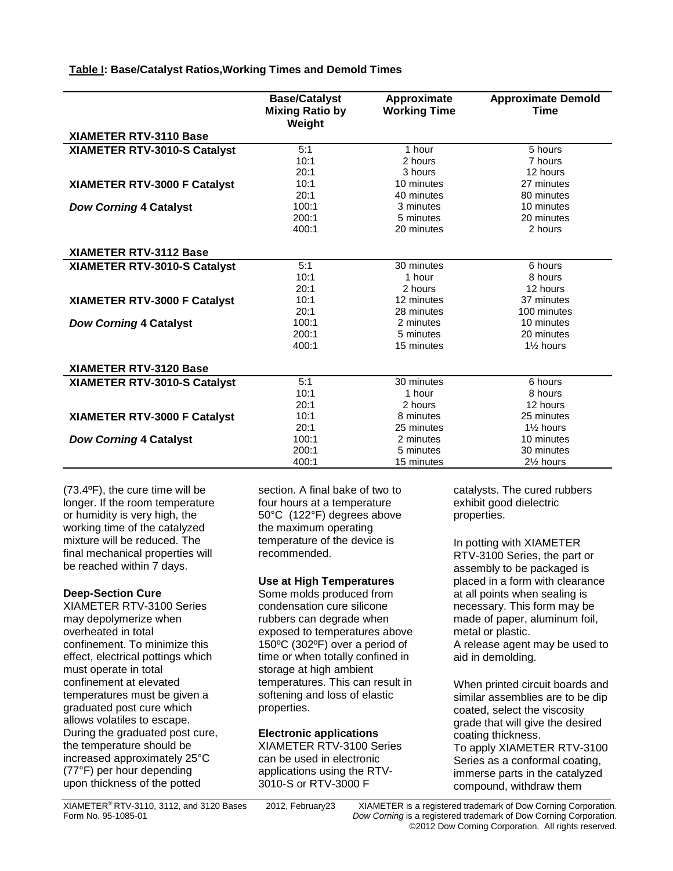#### **Table I: Base/Catalyst Ratios,Working Times and Demold Times**

|                               | <b>Base/Catalyst</b><br><b>Mixing Ratio by</b><br>Weight | Approximate<br><b>Working Time</b> | <b>Approximate Demold</b><br><b>Time</b> |
|-------------------------------|----------------------------------------------------------|------------------------------------|------------------------------------------|
| XIAMETER RTV-3110 Base        |                                                          |                                    |                                          |
| XIAMETER RTV-3010-S Catalyst  | 5:1                                                      | 1 hour                             | 5 hours                                  |
|                               | 10:1                                                     | 2 hours                            | 7 hours                                  |
|                               | 20:1                                                     | 3 hours                            | 12 hours                                 |
| XIAMETER RTV-3000 F Catalyst  | 10:1                                                     | 10 minutes                         | 27 minutes                               |
|                               | 20:1                                                     | 40 minutes                         | 80 minutes                               |
| <b>Dow Corning 4 Catalyst</b> | 100:1                                                    | 3 minutes                          | 10 minutes                               |
|                               | 200:1                                                    | 5 minutes                          | 20 minutes                               |
|                               | 400:1                                                    | 20 minutes                         | 2 hours                                  |
|                               |                                                          |                                    |                                          |
| <b>XIAMETER RTV-3112 Base</b> |                                                          |                                    |                                          |
| XIAMETER RTV-3010-S Catalyst  | 5:1                                                      | 30 minutes                         | 6 hours                                  |
|                               | 10:1                                                     | 1 hour                             | 8 hours                                  |
|                               | 20:1                                                     | 2 hours                            | 12 hours                                 |
| XIAMETER RTV-3000 F Catalyst  | 10:1                                                     | 12 minutes                         | 37 minutes                               |
|                               | 20:1                                                     | 28 minutes                         | 100 minutes                              |
| <b>Dow Corning 4 Catalyst</b> | 100:1                                                    | 2 minutes                          | 10 minutes                               |
|                               | 200:1                                                    | 5 minutes                          | 20 minutes                               |
|                               | 400:1                                                    | 15 minutes                         | 1% hours                                 |
|                               |                                                          |                                    |                                          |
| <b>XIAMETER RTV-3120 Base</b> |                                                          |                                    |                                          |
| XIAMETER RTV-3010-S Catalyst  | 5:1                                                      | 30 minutes                         | 6 hours                                  |
|                               | 10:1                                                     | 1 hour                             | 8 hours                                  |
|                               | 20:1                                                     | 2 hours                            | 12 hours                                 |
| XIAMETER RTV-3000 F Catalyst  | 10:1                                                     | 8 minutes                          | 25 minutes                               |
|                               | 20:1                                                     | 25 minutes                         | 1 <sup>1/2</sup> hours                   |
| <b>Dow Corning 4 Catalyst</b> | 100:1                                                    | 2 minutes                          | 10 minutes                               |
|                               | 200:1                                                    | 5 minutes                          | 30 minutes                               |
|                               | 400:1                                                    | 15 minutes                         | 2 <sup>1/2</sup> hours                   |

(73.4ºF), the cure time will be longer. If the room temperature or humidity is very high, the working time of the catalyzed mixture will be reduced. The final mechanical properties will be reached within 7 days.

#### **Deep-Section Cure**

XIAMETER RTV-3100 Series may depolymerize when overheated in total confinement. To minimize this effect, electrical pottings which must operate in total confinement at elevated temperatures must be given a graduated post cure which allows volatiles to escape. During the graduated post cure, the temperature should be increased approximately 25°C (77°F) per hour depending upon thickness of the potted

section. A final bake of two to four hours at a temperature 50°C (122°F) degrees above the maximum operating temperature of the device is recommended.

#### **Use at High Temperatures**

Some molds produced from condensation cure silicone rubbers can degrade when exposed to temperatures above 150ºC (302ºF) over a period of time or when totally confined in storage at high ambient temperatures. This can result in softening and loss of elastic properties.

#### **Electronic applications**

XIAMETER RTV-3100 Series can be used in electronic applications using the RTV-3010-S or RTV-3000 F

catalysts. The cured rubbers exhibit good dielectric properties.

In potting with XIAMETER RTV-3100 Series, the part or assembly to be packaged is placed in a form with clearance at all points when sealing is necessary. This form may be made of paper, aluminum foil, metal or plastic. A release agent may be used to aid in demolding.

When printed circuit boards and similar assemblies are to be dip coated, select the viscosity grade that will give the desired coating thickness. To apply XIAMETER RTV-3100 Series as a conformal coating, immerse parts in the catalyzed compound, withdraw them